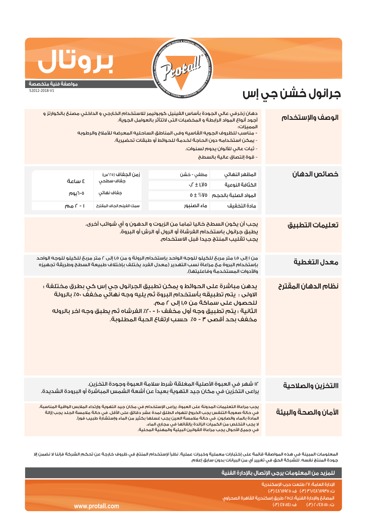

## **مواصفة فنية متخصصة**

**بروتال**

52012-2018-V1

## **جرانول خشن جي إس**

| الوصف والإستخدام      | دهان زخرفي عالي الجودة بأساس الفينيل كوبوليمر للاستخدام الخارجي و الداخلي مصنعً بالكوارتز و<br>أجود أنواع المواد الرابطة و المخضبات التن لاتتأثر بالعوامل الجوية.<br>المميزات:<br>- مناسب للظروف الجويه القاسيه وفى المناطق الساحليه المعرضه للأملاح والرطوبه<br>- يمكن استخدامه دون الحاجة لخدمة للحوائط أو طبقات تحضيرية.<br>- ثبات عالى للألوان يدوم لسنوات.<br>- قوة إلتصاق عالية بالسطح                                                          |                                                                            |                                                                          |                              |  |  |
|-----------------------|-------------------------------------------------------------------------------------------------------------------------------------------------------------------------------------------------------------------------------------------------------------------------------------------------------------------------------------------------------------------------------------------------------------------------------------------------------|----------------------------------------------------------------------------|--------------------------------------------------------------------------|------------------------------|--|--|
| خصائص الدهان          | المظهر النهائى<br>الكثافة النوعية<br>المواد الصلبة بالحجم<br>مادة التخفيف                                                                                                                                                                                                                                                                                                                                                                             | مطفي - خشن<br>$\cdot$ , $\Gamma \pm 1,$ Vo<br>$0 \pm \%$ VO<br>ماء الصنبور | زمن الجفاف (٢٥°س)<br>جفاف سطحي<br>جفاف نهائي<br>سمك الغيلم الجاف المقترح | ة ساعة<br>٥-١يوم<br>ا - r مم |  |  |
| تعليمات التطبيق       | يجب أن يكون السطح خاليا تماما من الزيوت و الدهون و أي شوائب أخرى.<br>يطبق جرانول باستخدام الفرشاة أو الرول أو الرش أو البروة.<br>يجب تقليب المنتج جيدا قبل الاستخدام.                                                                                                                                                                                                                                                                                 |                                                                            |                                                                          |                              |  |  |
| معدل التغطية          | من ١ إلى ١,٥ متر مربحُ للحُيلو للوجه الواحد بإستخدام الرولة و من ١,٥ إلى ٢ متر مربحُ للحُيلو للوجه الواحد<br>بإستخدام البروة مع مراعاة نسب التهدير (معدل الفرد يختلف بإختلاف طبيعة السطح وطريقة تجهيزه<br>والأدوات المستخدمة وفاعليتها).                                                                                                                                                                                                              |                                                                            |                                                                          |                              |  |  |
| نظام الدهان المقترح   | يدهن مباشرة على الحوائط و يمكن تطبيق الجرانول جي إس كي بطرق مختلفة :<br>الاولى : يتم تطبيقه بأستخدام البروة ثم يليه وجه نهاثَي مخفَفٌ ٥٠٪ بالرولة<br>للحصول على سماكة من ١,٥ إلى ٢ مم.<br>الثانية : يتم تطبيق وجه أول مخفف ١٠ - ٢٠٪ الفرشاه ثم يطبق وجه اخر بالروله<br>مخفف بحد أقصى ٣ - ٥٪ حسب ارتفاع الحبة المطلوبة.                                                                                                                                |                                                                            |                                                                          |                              |  |  |
| االتخزين والصلاحية    | ١٢ شهر في العبوة الأصلية المغلقة شرط سلامة العبوة وجودة التخزين.<br>يراعى التخزين في مكان جيد التهوية بعيداً عن أشعة الشمس المباشرة أو البرودة الشديدة.                                                                                                                                                                                                                                                                                               |                                                                            |                                                                          |                              |  |  |
| الأمان والصحة والبيئة | يجب مراعاة التعليمات المدونة على العبوة. يراعى الإستخدام فى مكان جيد التهوية وإرتداء الملابس الواقية المناسبة.<br>في حالة صعوبة التنفس يجب الخروج للهواء الطلق لمدة عشر دقائق على الأقل. في حالة ملامسة الجلد يجب إزالة<br>المادة بالماء والصابون. في حالة ملامسة العين يجب غسلها بكثير من الماء وإستشارة طبيب فوراً.<br>لا يجب التخلص من الكميات الزائدة بإلقائها فى مجارى الماء.<br>في حميـًا الأحوال بحب مراعاة القوانين البيئية والمهنية المحلية. |                                                                            |                                                                          |                              |  |  |

المعلومات المبينة في هذه المواصفة قائمة على إختبارات معملية وخبرات عملية. نظراً لإستخدام المنتج في ظروف خارجة عن تحكم الشركة فإننا لا نضمن إلا جودة المنتج نفسه. للشركة الحق في تغيير أي من البيانات بدون سابق إعلام.

|                 | اللمزيد من المعلومات يرجى الإتصال بالإدارة الفنية                           |
|-----------------|-----------------------------------------------------------------------------|
|                 | الإدارة العامة؛ ٢٧ طلعت حرب الإسكندرية<br>ت: ۴/۲۸٦٨٩٢٥ (۳٠) ف: ٤٨٦٨٩٢٥ (٣٠) |
|                 | ً المصانعَ والإدارة الفنية؛ ك٢٥ طريق إسكندرية القاهرة الصحراوى ر            |
| www.protall.com | ف: SV-IIEI) 8<br>$\left(\frac{1}{2}\right)^n$ (۳) ۲۰/٤۷۰۱۱۱۰۰ (۳)           |